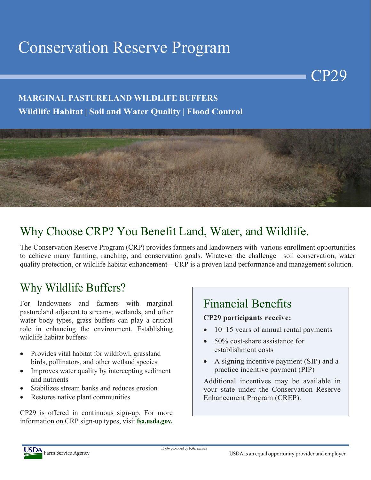# Conservation Reserve Program

#### **MARGINAL PASTURELAND WILDLIFE BUFFERS Wildlife Habitat | Soil and Water Quality | Flood Control**



### Why Choose CRP? You Benefit Land, Water, and Wildlife.

The Conservation Reserve Program (CRP) provides farmers and landowners with various enrollment opportunities to achieve many farming, ranching, and conservation goals. Whatever the challenge—soil conservation, water quality protection, or wildlife habitat enhancement—CRP is a proven land performance and management solution.

### Why Wildlife Buffers?

For landowners and farmers with marginal pastureland adjacent to streams, wetlands, and other water body types, grass buffers can play a critical role in enhancing the environment. Establishing wildlife habitat buffers:

- Provides vital habitat for wildfowl, grassland birds, pollinators, and other wetland species
- Improves water quality by intercepting sediment and nutrients
- Stabilizes stream banks and reduces erosion
- Restores native plant communities

CP29 is offered in continuous sign-up. For more information on CRP sign-up types, visit **fsa.usda.gov.**

# Financial Benefits

#### **CP29 participants receive:**

• 10–15 years of annual rental payments

CP29

- 50% cost-share assistance for establishment costs
- A signing incentive payment (SIP) and a practice incentive payment (PIP)

Additional incentives may be available in your state under the Conservation Reserve Enhancement Program (CREP).